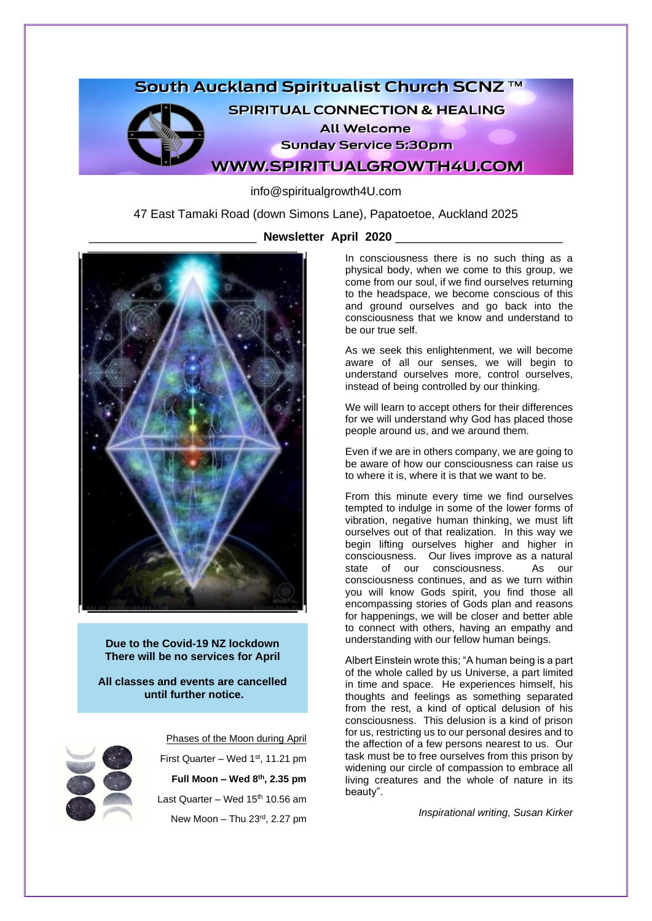# South Auckland Spiritualist Church SCNZ ™



**SPIRITUAL CONNECTION & HEALING** 

**All Welcome** 

**Sunday Service 5:30pm** 

**WWW.SPIRITUALGROWTH4U.COM** 

info@spiritualgrowth4U.com

47 East Tamaki Road (down Simons Lane), Papatoetoe, Auckland 2025



\_\_\_\_\_\_\_\_\_\_\_\_\_\_\_\_\_\_\_\_\_\_\_\_\_ **Newsletter April 2020** \_\_\_\_\_\_\_\_\_\_\_\_\_\_\_\_\_\_\_\_\_\_\_\_\_

In consciousness there is no such thing as a physical body, when we come to this group, we come from our soul, if we find ourselves returning to the headspace, we become conscious of this and ground ourselves and go back into the consciousness that we know and understand to be our true self.

As we seek this enlightenment, we will become aware of all our senses, we will begin to understand ourselves more, control ourselves, instead of being controlled by our thinking.

We will learn to accept others for their differences for we will understand why God has placed those people around us, and we around them.

Even if we are in others company, we are going to be aware of how our consciousness can raise us to where it is, where it is that we want to be.

From this minute every time we find ourselves tempted to indulge in some of the lower forms of vibration, negative human thinking, we must lift ourselves out of that realization. In this way we begin lifting ourselves higher and higher in consciousness. Our lives improve as a natural state of our consciousness. As our consciousness continues, and as we turn within you will know Gods spirit, you find those all encompassing stories of Gods plan and reasons for happenings, we will be closer and better able to connect with others, having an empathy and understanding with our fellow human beings.

Albert Einstein wrote this; "A human being is a part of the whole called by us Universe, a part limited in time and space. He experiences himself, his thoughts and feelings as something separated from the rest, a kind of optical delusion of his consciousness. This delusion is a kind of prison for us, restricting us to our personal desires and to the affection of a few persons nearest to us. Our task must be to free ourselves from this prison by widening our circle of compassion to embrace all living creatures and the whole of nature in its beauty".

*Inspirational writing, Susan Kirker*

**Due to the Covid-19 NZ lockdown There will be no services for April** 

**All classes and events are cancelled until further notice.**



Phases of the Moon during April First Quarter – Wed  $1<sup>st</sup>$ , 11.21 pm **Full Moon – Wed 8th, 2.35 pm** Last Quarter – Wed  $15<sup>th</sup> 10.56$  am

New Moon – Thu 23rd, 2.27 pm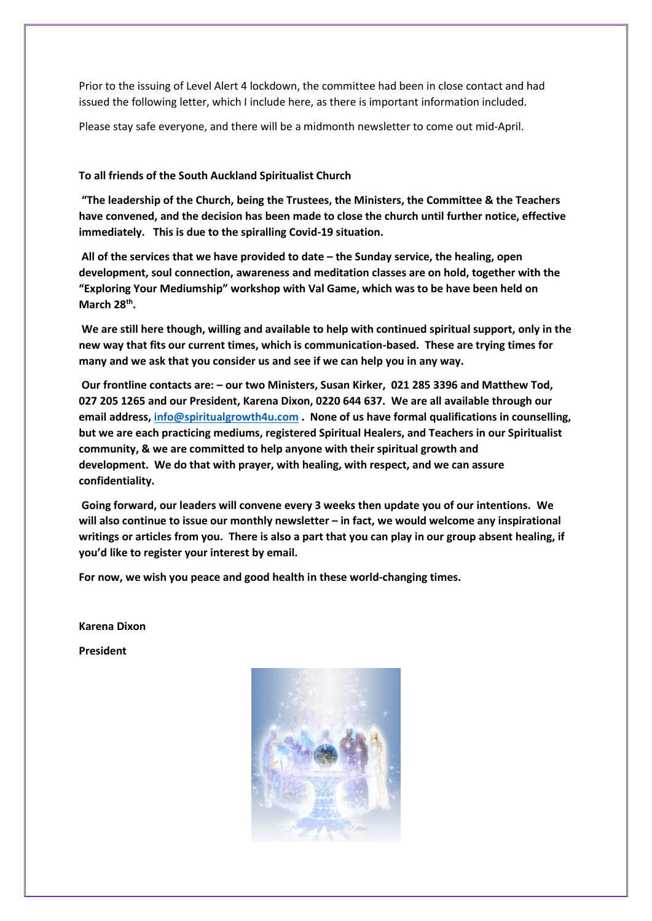Prior to the issuing of Level Alert 4 lockdown, the committee had been in close contact and had issued the following letter, which I include here, as there is important information included.

Please stay safe everyone, and there will be a midmonth newsletter to come out mid-April.

# **To all friends of the South Auckland Spiritualist Church**

**"The leadership of the Church, being the Trustees, the Ministers, the Committee & the Teachers have convened, and the decision has been made to close the church until further notice, effective immediately. This is due to the spiralling Covid-19 situation.**

**All of the services that we have provided to date – the Sunday service, the healing, open development, soul connection, awareness and meditation classes are on hold, together with the "Exploring Your Mediumship" workshop with Val Game, which was to be have been held on March 28th .**

**We are still here though, willing and available to help with continued spiritual support, only in the new way that fits our current times, which is communication-based. These are trying times for many and we ask that you consider us and see if we can help you in any way.**

**Our frontline contacts are: – our two Ministers, Susan Kirker, 021 285 3396 and Matthew Tod, 027 205 1265 and our President, Karena Dixon, 0220 644 637. We are all available through our email address[, info@spiritualgrowth4u.com](mailto:info@spiritualgrowth4u.com) . None of us have formal qualifications in counselling, but we are each practicing mediums, registered Spiritual Healers, and Teachers in our Spiritualist community, & we are committed to help anyone with their spiritual growth and development. We do that with prayer, with healing, with respect, and we can assure confidentiality.**

**Going forward, our leaders will convene every 3 weeks then update you of our intentions. We will also continue to issue our monthly newsletter – in fact, we would welcome any inspirational writings or articles from you. There is also a part that you can play in our group absent healing, if you'd like to register your interest by email.**

**For now, we wish you peace and good health in these world-changing times.**

**Karena Dixon**

**President**

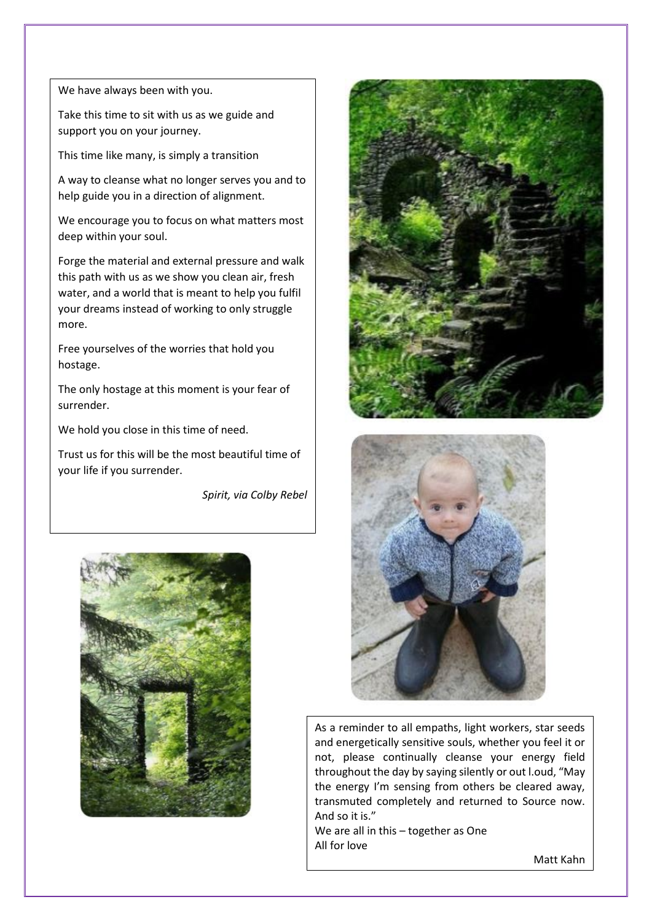We have always been with you.

Take this time to sit with us as we guide and support you on your journey.

This time like many, is simply a transition

A way to cleanse what no longer serves you and to help guide you in a direction of alignment.

We encourage you to focus on what matters most deep within your soul.

Forge the material and external pressure and walk this path with us as we show you clean air, fresh water, and a world that is meant to help you fulfil your dreams instead of working to only struggle more.

 Free yourselves of the worries that hold you hostage.

The only hostage at this moment is your fear of surrender.

We hold you close in this time of need.

Trust us for this will be the most beautiful time of your life if you surrender.

*Spirit, via Colby Rebel*







As a reminder to all empaths, light workers, star seeds and energetically sensitive souls, whether you feel it or not, please continually cleanse your energy field throughout the day by saying silently or out l.oud, "May the energy I'm sensing from others be cleared away, transmuted completely and returned to Source now. And so it is."

We are all in this – together as One All for love

Matt Kahn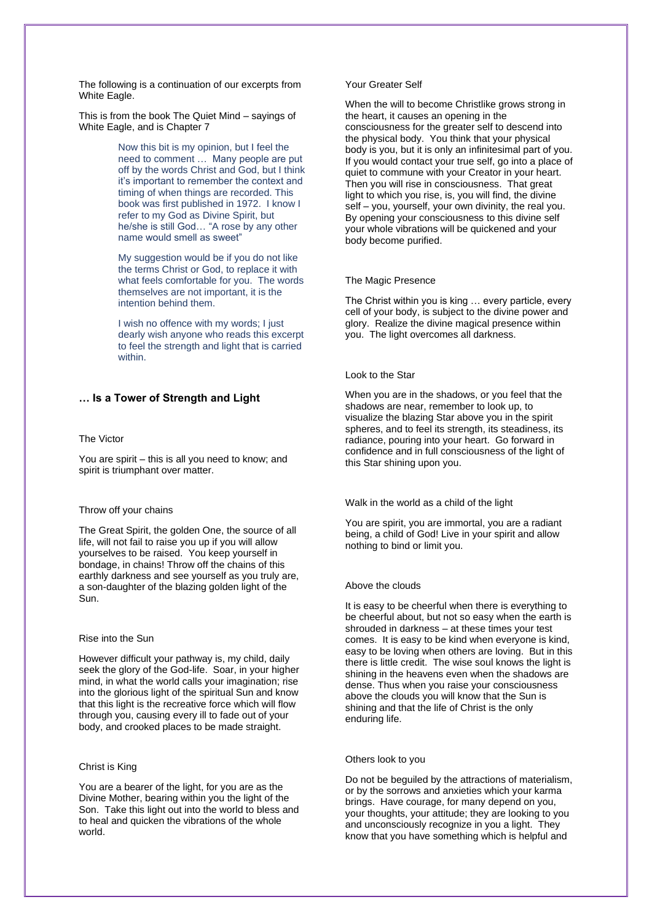The following is a continuation of our excerpts from White Eagle.

This is from the book The Quiet Mind – sayings of White Eagle, and is Chapter 7

> Now this bit is my opinion, but I feel the need to comment … Many people are put off by the words Christ and God, but I think it's important to remember the context and timing of when things are recorded. This book was first published in 1972. I know I refer to my God as Divine Spirit, but he/she is still God… "A rose by any other name would smell as sweet"

> My suggestion would be if you do not like the terms Christ or God, to replace it with what feels comfortable for you. The words themselves are not important, it is the intention behind them.

> I wish no offence with my words; I just dearly wish anyone who reads this excerpt to feel the strength and light that is carried within.

## **… Is a Tower of Strength and Light**

#### The Victor

You are spirit – this is all you need to know; and spirit is triumphant over matter.

#### Throw off your chains

The Great Spirit, the golden One, the source of all life, will not fail to raise you up if you will allow yourselves to be raised. You keep yourself in bondage, in chains! Throw off the chains of this earthly darkness and see yourself as you truly are, a son-daughter of the blazing golden light of the Sun.

#### Rise into the Sun

However difficult your pathway is, my child, daily seek the glory of the God-life. Soar, in your higher mind, in what the world calls your imagination; rise into the glorious light of the spiritual Sun and know that this light is the recreative force which will flow through you, causing every ill to fade out of your body, and crooked places to be made straight.

#### Christ is King

You are a bearer of the light, for you are as the Divine Mother, bearing within you the light of the Son. Take this light out into the world to bless and to heal and quicken the vibrations of the whole world.

#### Your Greater Self

When the will to become Christlike grows strong in the heart, it causes an opening in the consciousness for the greater self to descend into the physical body. You think that your physical body is you, but it is only an infinitesimal part of you. If you would contact your true self, go into a place of quiet to commune with your Creator in your heart. Then you will rise in consciousness. That great light to which you rise, is, you will find, the divine self – you, yourself, your own divinity, the real you. By opening your consciousness to this divine self your whole vibrations will be quickened and your body become purified.

#### The Magic Presence

The Christ within you is king … every particle, every cell of your body, is subject to the divine power and glory. Realize the divine magical presence within you. The light overcomes all darkness.

#### Look to the Star

When you are in the shadows, or you feel that the shadows are near, remember to look up, to visualize the blazing Star above you in the spirit spheres, and to feel its strength, its steadiness, its radiance, pouring into your heart. Go forward in confidence and in full consciousness of the light of this Star shining upon you.

#### Walk in the world as a child of the light

You are spirit, you are immortal, you are a radiant being, a child of God! Live in your spirit and allow nothing to bind or limit you.

#### Above the clouds

It is easy to be cheerful when there is everything to be cheerful about, but not so easy when the earth is shrouded in darkness – at these times your test comes. It is easy to be kind when everyone is kind, easy to be loving when others are loving. But in this there is little credit. The wise soul knows the light is shining in the heavens even when the shadows are dense. Thus when you raise your consciousness above the clouds you will know that the Sun is shining and that the life of Christ is the only enduring life.

#### Others look to you

Do not be beguiled by the attractions of materialism, or by the sorrows and anxieties which your karma brings. Have courage, for many depend on you, your thoughts, your attitude; they are looking to you and unconsciously recognize in you a light. They know that you have something which is helpful and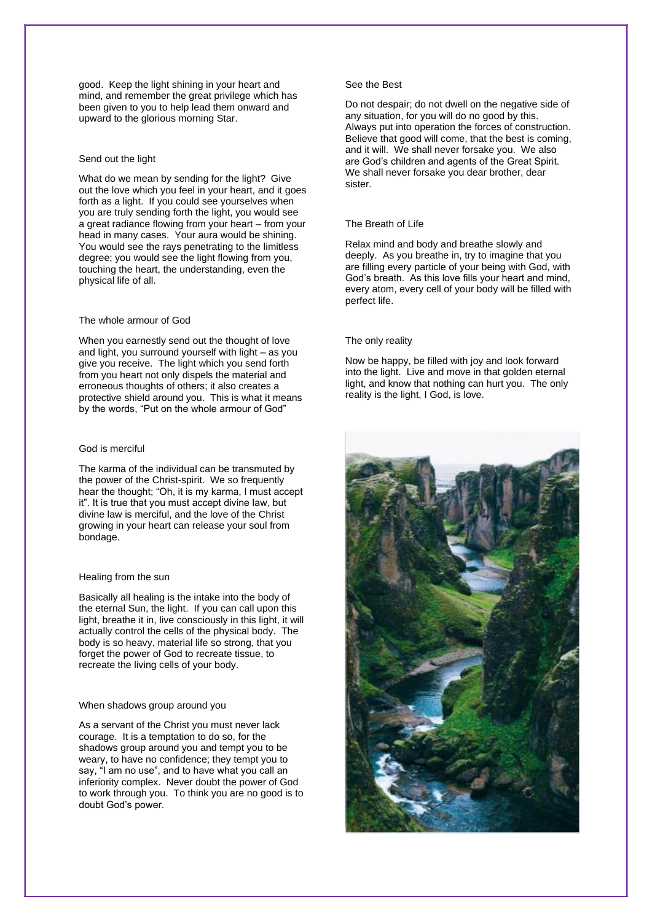good. Keep the light shining in your heart and mind, and remember the great privilege which has been given to you to help lead them onward and upward to the glorious morning Star.

#### Send out the light

What do we mean by sending for the light? Give out the love which you feel in your heart, and it goes forth as a light. If you could see yourselves when you are truly sending forth the light, you would see a great radiance flowing from your heart – from your head in many cases. Your aura would be shining. You would see the rays penetrating to the limitless degree; you would see the light flowing from you, touching the heart, the understanding, even the physical life of all.

### The whole armour of God

When you earnestly send out the thought of love and light, you surround yourself with light – as you give you receive. The light which you send forth from you heart not only dispels the material and erroneous thoughts of others; it also creates a protective shield around you. This is what it means by the words, "Put on the whole armour of God"

### God is merciful

The karma of the individual can be transmuted by the power of the Christ-spirit. We so frequently hear the thought; "Oh, it is my karma, I must accept it". It is true that you must accept divine law, but divine law is merciful, and the love of the Christ growing in your heart can release your soul from bondage.

#### Healing from the sun

Basically all healing is the intake into the body of the eternal Sun, the light. If you can call upon this light, breathe it in, live consciously in this light, it will actually control the cells of the physical body. The body is so heavy, material life so strong, that you forget the power of God to recreate tissue, to recreate the living cells of your body.

#### When shadows group around you

As a servant of the Christ you must never lack courage. It is a temptation to do so, for the shadows group around you and tempt you to be weary, to have no confidence; they tempt you to say, "I am no use", and to have what you call an inferiority complex. Never doubt the power of God to work through you. To think you are no good is to doubt God's power.

#### See the Best

Do not despair; do not dwell on the negative side of any situation, for you will do no good by this. Always put into operation the forces of construction. Believe that good will come, that the best is coming, and it will. We shall never forsake you. We also are God's children and agents of the Great Spirit. We shall never forsake you dear brother, dear sister.

#### The Breath of Life

Relax mind and body and breathe slowly and deeply. As you breathe in, try to imagine that you are filling every particle of your being with God, with God's breath. As this love fills your heart and mind, every atom, every cell of your body will be filled with perfect life.

#### The only reality

Now be happy, be filled with joy and look forward into the light. Live and move in that golden eternal light, and know that nothing can hurt you. The only reality is the light, I God, is love.